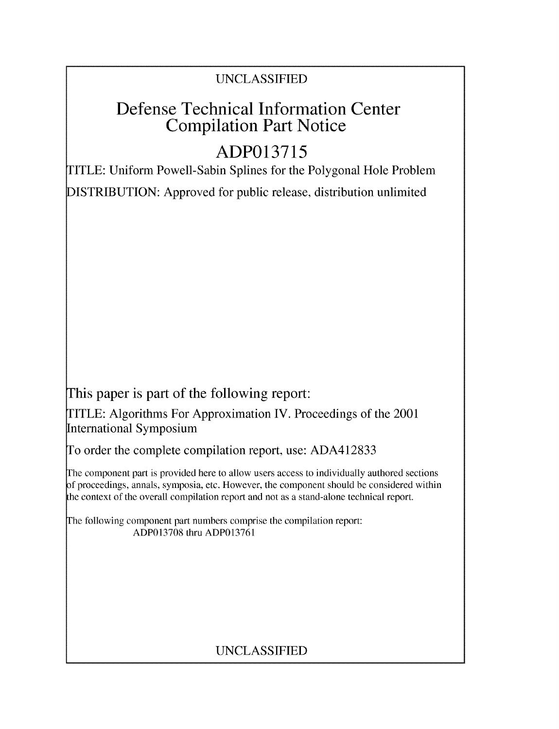# UNCLASSIFIED

# Defense Technical Information Center Compilation Part Notice

# **ADP013715**

TITLE: Uniform Powell-Sabin Splines for the Polygonal Hole Problem

DISTRIBUTION: Approved for public release, distribution unlimited

This paper is part of the following report:

TITLE: Algorithms For Approximation IV. Proceedings of the 2001 International Symposium

To order the complete compilation report, use: ADA412833

The component part is provided here to allow users access to individually authored sections f proceedings, annals, symposia, etc. However, the component should be considered within the context of the overall compilation report and not as a stand-alone technical report.

The following component part numbers comprise the compilation report: ADP013708 thru ADP013761

# UNCLASSIFIED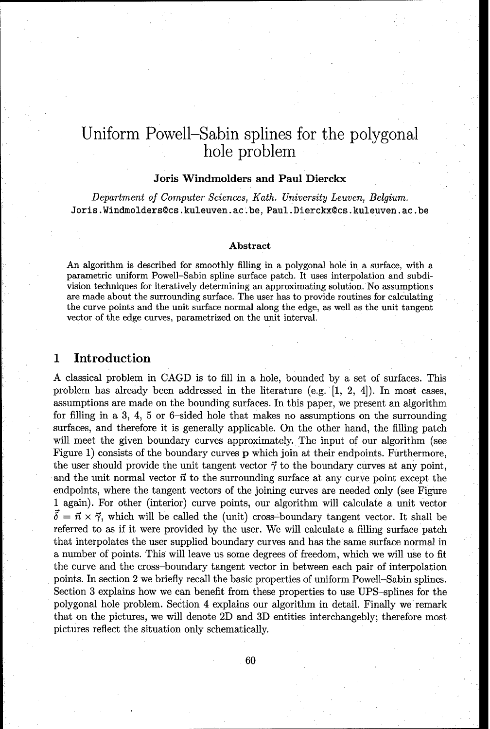# Uniform Powell-Sabin splines for the polygonal hole problem

# Joris Windmolders and Paul Dierckx

Department of *Computer Sciences, Kath.* University Leuven, Belgium. Joris.Windmolders@cs.kuleuven.ac.be, Paul.Dierckx@cs.kuleuven.ac.be

#### Abstract

An algorithm is described for smoothly filling in a polygonal hole in a surface, with a parametric uniform Powell-Sabin spline surface patch. It uses interpolation and subdivision techniques for iteratively determining an approximating solution. No assumptions are made about the surrounding surface. The user has to provide routines for calculating the curve points and the unit surface normal along the edge, as well as the unit tangent vector of the edge curves, parametrized on the unit interval.

# 1 Introduction

A classical problem in CAGD is to fill in a hole, bounded by a set of surfaces. This problem has already been addressed in the literature (e.g. [1, 2, 4]). In most cases, assumptions are made on the bounding surfaces. In this paper, we present an algorithm for filling in a 3, 4, 5 or 6-sided hole that makes no assumptions on the surrounding surfaces, and therefore it is generally applicable. On the other hand, the filling patch will meet the given boundary curves approximately. The input of our algorithm (see Figure 1) consists of the boundary curves p which join at their endpoints. Furthermore, the user should provide the unit tangent vector  $\vec{\gamma}$  to the boundary curves at any point, and the unit normal vector  $\vec{n}$  to the surrounding surface at any curve point except the endpoints, where the tangent vectors of the joining curves are needed only (see Figure 1 again). For other (interior) curve points, our algorithm will calculate a unit vector  $\vec{\delta} = \vec{n} \times \vec{\gamma}$ , which will be called the (unit) cross-boundary tangent vector. It shall be referred to as if it were provided by the user. We will calculate a filling surface patch that interpolates the user supplied boundary curves and has the same surface normal in a number of points. This will leave us some degrees of freedom, which we will use to fit the curve and the cross-boundary tangent vector in between each pair of interpolation points. In section 2 we briefly recall the basic properties of uniform Powell-Sabin splines. Section **3** explains how we can benefit from these properties to use UPS-splines for the polygonal hole problem. Section 4 explains our algorithm in detail. Finally we remark that on the pictures, we will denote 2D and 3D entities interchangebly; therefore most pictures reflect the situation only schematically.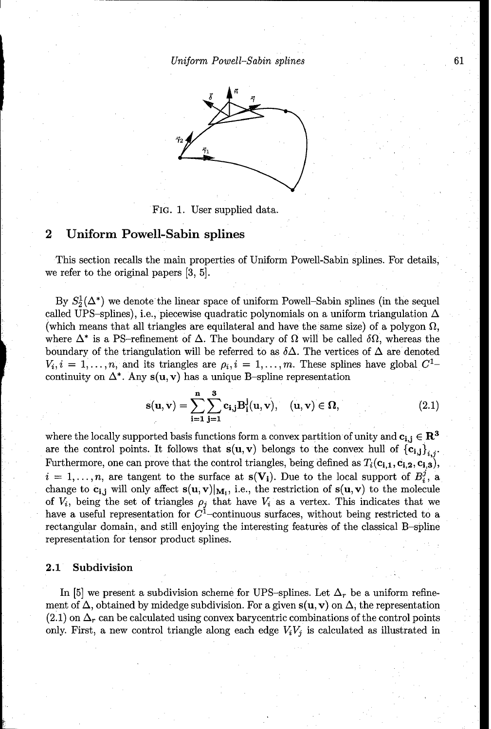Uniform *Powell-Sabin splines* 61



#### FIG. 1. User supplied data.

# 2 Uniform Powell-Sabin splines

This section recalls the main properties of Uniform Powell-Sabin splines. For details, we refer to the original papers [3, 5].

By  $S_2^1(\mathbb{\Delta}^*)$  we denote the linear space of uniform Powell-Sabin splines (in the sequel called UPS-splines), i.e., piecewise quadratic polynomials on a uniform triangulation  $\Delta$ (which means that all triangles are equilateral and have the same size) of a polygon  $\Omega$ , where  $\Delta^*$  is a PS-refinement of  $\Delta$ . The boundary of  $\Omega$  will be called  $\delta\Omega$ , whereas the boundary of the triangulation will be referred to as  $\delta\Delta$ . The vertices of  $\Delta$  are denoted  $V_i, i = 1, \ldots, n$ , and its triangles are  $\rho_i, i = 1, \ldots, m$ . These splines have global  $C^1$ continuity on  $\Delta^*$ . Any  $s(u, v)$  has a unique B-spline representation

$$
\mathbf{s}(\mathbf{u}, \mathbf{v}) = \sum_{i=1}^{n} \sum_{j=1}^{3} \mathbf{c}_{i,j} \mathbf{B}_{i}^{j}(\mathbf{u}, \mathbf{v}), \quad (\mathbf{u}, \mathbf{v}) \in \Omega,
$$
 (2.1)

where the locally supported basis functions form a convex partition of unity and  $c_{i,i} \in \mathbb{R}^3$ are the control points. It follows that  $s(u, v)$  belongs to the convex hull of  ${c_{i,j}}_{i,j}$ . Furthermore, one can prove that the control triangles, being defined as  $T_i(c_{i,1}, c_{i,2}, c_{i,3})$ ,  $i = 1, \ldots, n$ , are tangent to the surface at  $s(V_i)$ . Due to the local support of  $B_i^j$ , a change to  $c_{i,j}$  will only affect  $s(u, v)|_{M_i}$ , i.e., the restriction of  $s(u, v)$  to the molecule of  $V_i$ , being the set of triangles  $\rho_j$  that have  $V_i$  as a vertex. This indicates that we have a useful representation for  $C<sup>1</sup>$ -continuous surfaces, without being restricted to a rectangular domain, and still enjoying the interesting features of the classical B-spline representation for tensor product splines.

### 2.1 Subdivision

In [5] we present a subdivision scheme for UPS-splines. Let  $\Delta_r$  be a uniform refinement of  $\Delta$ , obtained by midedge subdivision. For a given  $s(u, v)$  on  $\Delta$ , the representation  $(2.1)$  on  $\Delta_r$  can be calculated using convex barycentric combinations of the control points only. First, a new control triangle along each edge  $V_iV_j$  is calculated as illustrated in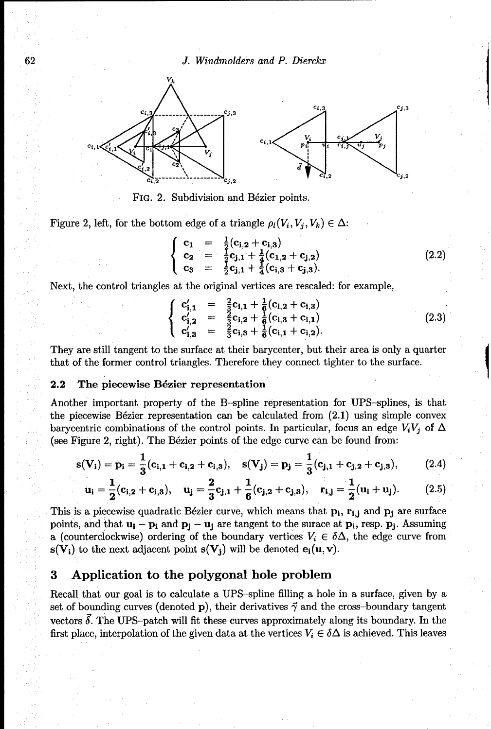62 *J.* Windmolders and *P. Dierckx*



FIG. 2. Subdivision and Bézier points.

Figure 2, left, for the bottom edge of a triangle  $\rho_l(V_i, V_j, V_k) \in \Delta$ :<br>  $\left\{ C_1 = \frac{1}{2}(C_1 \cdot 2 + C_2 \cdot 3) \right\}$ 

$$
\begin{cases}\n\mathbf{c}_1 = \frac{1}{2} (\mathbf{c}_{1,2} + \mathbf{c}_{1,3}) \\
\mathbf{c}_2 = \frac{1}{2} \mathbf{c}_{j,1} + \frac{1}{4} (\mathbf{c}_{1,2} + \mathbf{c}_{j,2}) \\
\mathbf{c}_3 = \frac{1}{2} \mathbf{c}_{j,1} + \frac{1}{4} (\mathbf{c}_{1,3} + \mathbf{c}_{j,3}).\n\end{cases}
$$
\n(2.2)

Next, the control triangles at the original vertices are rescaled: for example,

$$
\begin{cases}\n\mathbf{c}'_{1,1} = \frac{2}{3}\mathbf{c}_{1,1} + \frac{1}{6}(\mathbf{c}_{1,2} + \mathbf{c}_{1,3}) \\
\mathbf{c}'_{1,2} = \frac{2}{3}\mathbf{c}_{1,2} + \frac{1}{6}(\mathbf{c}_{1,3} + \mathbf{c}_{1,1}) \\
\mathbf{c}'_{1,3} = \frac{2}{3}\mathbf{c}_{1,3} + \frac{1}{6}(\mathbf{c}_{1,1} + \mathbf{c}_{1,2}).\n\end{cases}
$$
\n(2.3)

They are still tangent to the surface at their barycenter, but their area is only a quarter that of the former control triangles. Therefore they connect tighter to the surface.

#### 2.2 The piecewise B6zier representation

Another important property of the B-spline representation for UPS-splines, is that the piecewise Bézier representation can be calculated from  $(2.1)$  using simple convex barycentric combinations of the control points. In particular, focus an edge  $V_iV_i$  of  $\Delta$ (see Figure 2, right). The Bézier points of the edge curve can be found from:

$$
s(V_i) = p_i = \frac{1}{3}(c_{i,1} + c_{i,2} + c_{i,3}), \quad s(V_j) = p_j = \frac{1}{3}(c_{j,1} + c_{j,2} + c_{j,3}), \quad (2.4)
$$

$$
\mathbf{u_i} = \frac{1}{2}(\mathbf{c_{i,2}} + \mathbf{c_{i,3}}), \quad \mathbf{u_j} = \frac{2}{3}\mathbf{c_{j,1}} + \frac{1}{6}(\mathbf{c_{j,2}} + \mathbf{c_{j,3}}), \quad \mathbf{r_{i,j}} = \frac{1}{2}(\mathbf{u_i} + \mathbf{u_j}).
$$
 (2.5)

This is a piecewise quadratic Bézier curve, which means that  $\mathbf{p_i}$ ,  $\mathbf{r_{i,i}}$  and  $\mathbf{p_i}$  are surface points, and that  $\mathbf{u}_i - \mathbf{p}_i$  and  $\mathbf{p}_j - \mathbf{u}_j$  are tangent to the surace at  $\mathbf{p}_i$ , resp.  $\mathbf{p}_j$ . Assuming a (counterclockwise) ordering of the boundary vertices  $V_i \in \delta \Delta$ , the edge curve from  $s(V_i)$  to the next adjacent point  $s(V_i)$  will be denoted  $e_i(u, v)$ .

# **3** Application to the polygonal hole problem

Recall that our goal is to calculate a UPS-spline filling a hole in a surface, given by a set of bounding curves (denoted p), their derivatives  $\vec{\gamma}$  and the cross-boundary tangent vectors  $\delta$ . The UPS-patch will fit these curves approximately along its boundary. In the first place, interpolation of the given data at the vertices  $V_i \in \delta \Delta$  is achieved. This leaves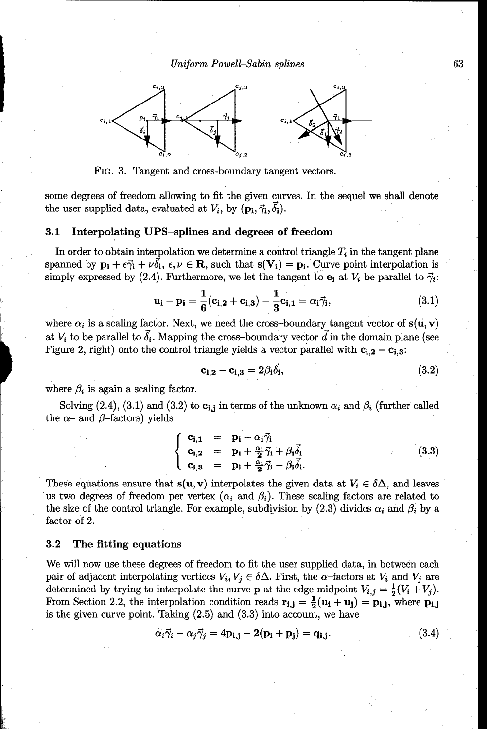Uniform *Powell-Sabin splines* 63



FiG. 3. Tangent and cross-boundary tangent vectors.

some degrees of freedom allowing to fit the given curves. In the sequel we shall denote the user supplied data, evaluated at  $V_i$ , by  $(\mathbf{p_i}, \vec{\gamma_i}, \delta_i)$ .

#### 3.1 Interpolating UPS-splines and degrees of freedom

In order to obtain interpolation we determine a control triangle  $T_i$  in the tangent plane spanned by  $\mathbf{p_i} + \epsilon \vec{\gamma_i} + \nu \vec{\delta_i}$ ,  $\epsilon, \nu \in \mathbf{R}$ , such that  $s(\mathbf{V_i}) = \mathbf{p_i}$ . Curve point interpolation is simply expressed by (2.4). Furthermore, we let the tangent to  $e_i$  at  $V_i$  be parallel to  $\vec{\gamma}_i$ :

$$
\mathbf{u_i} - \mathbf{p_i} = \frac{1}{6} (\mathbf{c_{i,2}} + \mathbf{c_{i,3}}) - \frac{1}{3} \mathbf{c_{i,1}} = \alpha_i \vec{\gamma_i},
$$
(3.1)

where  $\alpha_i$  is a scaling factor. Next, we need the cross-boundary tangent vector of  $s(u, v)$ at  $V_i$  to be parallel to  $\vec{\delta}_i$ . Mapping the cross-boundary vector  $\vec{d}$  in the domain plane (see Figure 2, right) onto the control triangle yields a vector parallel with  $c_{i,2} - c_{i,3}$ :

$$
\mathbf{c_{i,2}} - \mathbf{c_{i,3}} = 2\beta_1 \overline{\delta}_i, \tag{3.2}
$$

where  $\beta_i$  is again a scaling factor.

Solving (2.4), (3.1) and (3.2) to  $c_{i,j}$  in terms of the unknown  $\alpha_i$  and  $\beta_i$  (further called the  $\alpha$ - and  $\beta$ -factors) yields

$$
\begin{cases}\n\mathbf{c}_{\mathbf{i},\mathbf{1}} &= \mathbf{p}_{\mathbf{i}} - \alpha_{\mathbf{i}} \vec{\gamma}_{\mathbf{i}} \\
\mathbf{c}_{\mathbf{i},\mathbf{2}} &= \mathbf{p}_{\mathbf{i}} + \frac{\alpha_{\mathbf{i}}}{2} \vec{\gamma}_{\mathbf{i}} + \beta_{\mathbf{i}} \vec{\delta}_{\mathbf{i}} \\
\mathbf{c}_{\mathbf{i},\mathbf{3}} &= \mathbf{p}_{\mathbf{i}} + \frac{\alpha_{\mathbf{i}}}{2} \vec{\gamma}_{\mathbf{i}} - \beta_{\mathbf{i}} \vec{\delta}_{\mathbf{i}}.\n\end{cases}
$$
\n(3.3)

These equations ensure that  $s(u, v)$  interpolates the given data at  $V_i \in \delta \Delta$ , and leaves us two degrees of freedom per vertex  $(\alpha_i \text{ and } \beta_i)$ . These scaling factors are related to the size of the control triangle. For example, subdivision by  $(2.3)$  divides  $\alpha_i$  and  $\beta_i$  by a factor of 2.

## **3.2** The fitting equations

We will now use these degrees of freedom to fit the user supplied data, in between each pair of adjacent interpolating vertices  $V_i, V_j \in \delta \Delta$ . First, the  $\alpha$ -factors at  $V_i$  and  $V_j$  are determined by trying to interpolate the curve **p** at the edge midpoint  $V_{i,j} = \frac{1}{2}(V_i + V_j)$ . From Section 2.2, the interpolation condition reads  $\mathbf{r}_{i,j} = \frac{1}{2}(\mathbf{u}_i + \mathbf{u}_j) = \mathbf{p}_{i,j}$ , where  $\mathbf{p}_{i,j}$ is the given curve point. Taking (2.5) and (3.3) into account, we have

$$
\alpha_i \vec{\gamma}_i - \alpha_j \vec{\gamma}_j = 4\mathbf{p}_{i,j} - 2(\mathbf{p}_i + \mathbf{p}_j) = \mathbf{q}_{i,j}.
$$
 (3.4)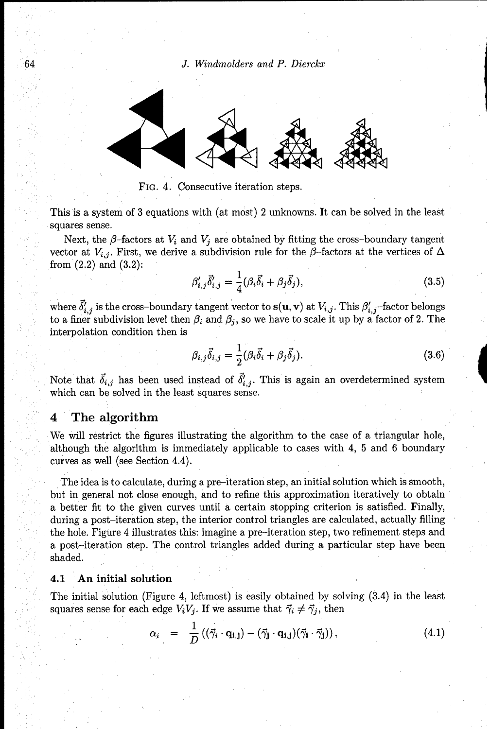64 *J.* Windmolders and *P. Dierckx*



**FIG.** 4. Consecutive iteration steps.

This is a system of 3 equations with (at most) 2 unknowns. It can be solved in the least squares sense.

Next, the  $\beta$ -factors at  $V_i$  and  $V_j$  are obtained by fitting the cross-boundary tangent vector at  $V_{i,j}$ . First, we derive a subdivision rule for the  $\beta$ -factors at the vertices of  $\Delta$ from  $(2.2)$  and  $(3.2)$ :

$$
\beta'_{i,j}\vec{\delta}'_{i,j} = \frac{1}{4}(\beta_i\vec{\delta}_i + \beta_j\vec{\delta}_j),\tag{3.5}
$$

where  $\delta'_{i,j}$  is the cross-boundary tangent vector to  $s(u, v)$  at  $V_{i,j}$ . This  $\beta'_{i,j}$ -factor belongs to a finer subdivision level then  $\beta_i$  and  $\beta_j$ , so we have to scale it up by a factor of 2. The interpolation condition then is

$$
\beta_{i,j}\vec{\delta}_{i,j} = \frac{1}{2}(\beta_i\vec{\delta}_i + \beta_j\vec{\delta}_j). \tag{3.6}
$$

Note that  $\vec{\delta}_{i,j}$  has been used instead of  $\vec{\delta}'_{i,j}$ . This is again an overdetermined system which can be solved in the least squares sense.

# 4 The algorithm

We will restrict the figures illustrating the algorithm to the case of a triangular hole, although the algorithm is immediately applicable to cases with 4, 5 and 6 boundary curves as well (see Section 4.4).

The idea is to calculate, during a pre-iteration step, an initial solution which is smooth, but in general not close enough, and to refine this approximation iteratively to obtain a better fit to the given curves until a certain stopping criterion is satisfied. Finally, during a post-iteration step, the interior control triangles are calculated, actually filling the hole. Figure 4 illustrates this: imagine a pre-iteration step, two refinement steps and a post-iteration step. The control triangles added during a particular step have been shaded.

## 4.1 An initial solution

The initial solution (Figure 4, leftmost) is easily obtained by solving (3.4) in the least squares sense for each edge  $V_iV_j$ . If we assume that  $\vec{\gamma}_i \neq \vec{\gamma}_j$ , then

$$
\alpha_i = \frac{1}{D} ((\vec{\gamma}_i \cdot \mathbf{q}_{i,j}) - (\vec{\gamma}_j \cdot \mathbf{q}_{i,j}) (\vec{\gamma}_i \cdot \vec{\gamma}_j)), \qquad (4.1)
$$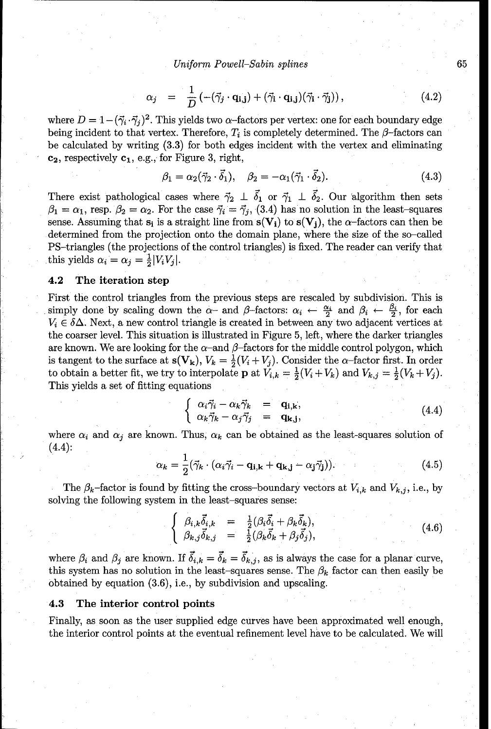Uniform *Powell-Sabin splines* 65

$$
\alpha_j = \frac{1}{D} \left( -(\vec{\gamma}_j \cdot \mathbf{q}_{\mathbf{i}, \mathbf{j}}) + (\vec{\gamma}_i \cdot \mathbf{q}_{\mathbf{i}, \mathbf{j}}) (\vec{\gamma}_i \cdot \vec{\gamma}_j) \right), \tag{4.2}
$$

where  $D = 1 - (\vec{\gamma}_i \cdot \vec{\gamma}_j)^2$ . This yields two  $\alpha$ -factors per vertex: one for each boundary edge being incident to that vertex. Therefore,  $T_i$  is completely determined. The  $\beta$ -factors can be calculated by writing (3.3) for both edges incident with the vertex and eliminating  $c_2$ , respectively  $c_1$ , e.g., for Figure 3, right,

$$
\beta_1 = \alpha_2(\vec{\gamma}_2 \cdot \vec{\delta}_1), \quad \beta_2 = -\alpha_1(\vec{\gamma}_1 \cdot \vec{\delta}_2). \tag{4.3}
$$

There exist pathological cases where  $\vec{\gamma}_2 \perp \vec{\delta}_1$  or  $\vec{\gamma}_1 \perp \vec{\delta}_2$ . Our algorithm then sets  $\beta_1 = \alpha_1$ , resp.  $\beta_2 = \alpha_2$ . For the case  $\vec{\gamma}_i = \vec{\gamma}_j$ , (3.4) has no solution in the least-squares sense. Assuming that  $s_i$  is a straight line from  $s(V_i)$  to  $s(V_i)$ , the  $\alpha$ -factors can then be determined from the projection onto the domain plane, where the size of the so-called PS-triangles (the projections of the control triangles) is fixed. The reader can verify that this yields  $\alpha_i = \alpha_j = \frac{1}{2} |V_i V_j|$ .

## 4.2 The iteration step

First the control triangles from the previous steps are rescaled by subdivision. This is simply done by scaling down the  $\alpha$ - and  $\beta$ -factors:  $\alpha_i \leftarrow \frac{\alpha_i}{2}$  and  $\beta_i \leftarrow \frac{\beta_i}{2}$ , for each  $V_i \in \delta \Delta$ . Next, a new control triangle is created in between any two adjacent vertices at the coarser level. This situation is illustrated in Figure 5, left, where the darker triangles are known. We are looking for the  $\alpha$ -and  $\beta$ -factors for the middle control polygon, which is tangent to the surface at  $S(V_k)$ ,  $V_k = \frac{1}{2}(V_i + V_j)$ . Consider the  $\alpha$ -factor first. In order to obtain a better fit, we try to interpolate **p** at  $V_{i,k} = \frac{1}{2}(V_i + V_k)$  and  $V_{k,j} = \frac{1}{2}(V_k + V_j)$ . This yields a set of fitting equations

$$
\begin{cases}\n\alpha_i \vec{\gamma}_i - \alpha_k \vec{\gamma}_k &= \mathbf{q}_{i,k}, \\
\alpha_k \vec{\gamma}_k - \alpha_j \vec{\gamma}_j &= \mathbf{q}_{k,j},\n\end{cases} (4.4)
$$

where  $\alpha_i$  and  $\alpha_j$  are known. Thus,  $\alpha_k$  can be obtained as the least-squares solution of  $(4.4):$ 

$$
\alpha_k = \frac{1}{2} (\vec{\gamma}_k \cdot (\alpha_i \vec{\gamma}_i - \mathbf{q}_{i,k} + \mathbf{q}_{k,j} - \alpha_j \vec{\gamma}_j)). \tag{4.5}
$$

The  $\beta_k$ -factor is found by fitting the cross-boundary vectors at  $V_{i,k}$  and  $V_{k,j}$ , i.e., by solving the following system in the least-squares sense:

$$
\begin{cases}\n\beta_{i,k}\vec{\delta}_{i,k} = \frac{1}{2}(\beta_i\vec{\delta}_i + \beta_k\vec{\delta}_k),\\ \n\beta_{k,j}\vec{\delta}_{k,j} = \frac{1}{2}(\beta_k\vec{\delta}_k + \beta_j\vec{\delta}_j),\n\end{cases}
$$
\n(4.6)

where  $\beta_i$  and  $\beta_j$  are known. If  $\vec{\delta}_{i,k} = \vec{\delta}_k = \vec{\delta}_{k,j}$ , as is always the case for a planar curve, this system has no solution in the least-squares sense. The  $\beta_k$  factor can then easily be obtained by equation (3.6), i.e., by subdivision and upscaling.

#### 4.3 The interior control points

Finally, as soon as the user supplied edge curves have been approximated well enough, the interior control points at the eventual refinement level have to be calculated. We will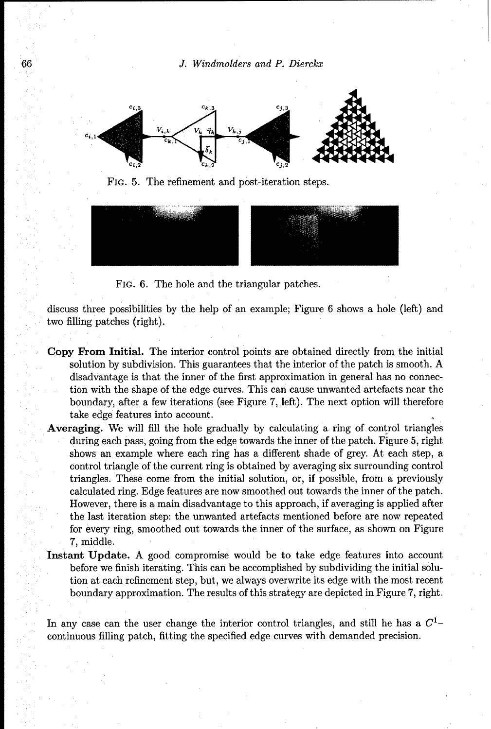66 J. Windmolders and *P. Dierckx*



FIG. 5. The refinement and post-iteration steps.



FIG. 6. The hole and the triangular patches.

discuss three possibilities by the help of an example; Figure 6 shows a hole (left) and two filling patches (right).

- Copy From Initial. The interior control points are obtained directly from the initial solution by subdivision. This guarantees that the interior of the patch is smooth. A disadvantage is that the inner of the first approximation in general has no connection with the shape of the edge curves. This can cause unwanted artefacts near the boundary, after a few iterations (see Figure 7, left). The next option will therefore take edge features into account.
- Averaging. We will fill the hole gradually by calculating a ring of control triangles during each pass, going from the edge towards the inner of the patch. Figure 5, right shows an example where each ring has a different shade of grey. At each step, a control triangle of the current ring is obtained by averaging six surrounding control triangles. These come from the initial solution, or, if possible, from a previously calculated ring. Edge features are now smoothed out towards the inner of the patch. However, there is a main disadvantage to this approach, if averaging is applied after the last iteration step: the unwanted artefacts mentioned before are now repeated for every ring, smoothed out towards the inner of the surface, as shown on Figure 7, middle.
- Instant Update. A good compromise would be to take edge features into account before we finish iterating. This can be accomplished by subdividing the initial solution at each refinement step, but, we always overwrite its edge with the most recent boundary approximation. The results of this strategy are depicted in Figure 7, right.

In any case can the user change the interior control triangles, and still he has a *Cl*continuous filling patch, fitting the specified edge curves with demanded precision.